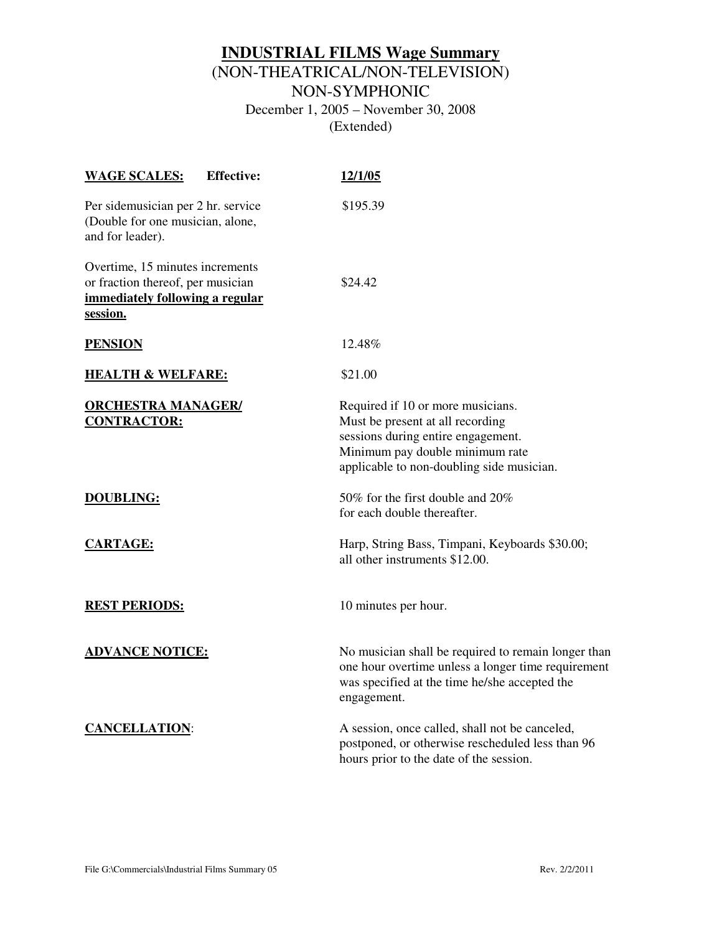## **INDUSTRIAL FILMS Wage Summary** (NON-THEATRICAL/NON-TELEVISION)

NON-SYMPHONIC

December 1, 2005 – November 30, 2008 (Extended)

| <b>Effective:</b><br><b>WAGE SCALES:</b>                                                                            | 12/1/05                                                                                                                                                                                     |
|---------------------------------------------------------------------------------------------------------------------|---------------------------------------------------------------------------------------------------------------------------------------------------------------------------------------------|
| Per sidemusician per 2 hr. service<br>(Double for one musician, alone,<br>and for leader).                          | \$195.39                                                                                                                                                                                    |
| Overtime, 15 minutes increments<br>or fraction thereof, per musician<br>immediately following a regular<br>session. | \$24.42                                                                                                                                                                                     |
| <b>PENSION</b>                                                                                                      | 12.48%                                                                                                                                                                                      |
| <b>HEALTH &amp; WELFARE:</b>                                                                                        | \$21.00                                                                                                                                                                                     |
| <b>ORCHESTRA MANAGER/</b><br><b>CONTRACTOR:</b>                                                                     | Required if 10 or more musicians.<br>Must be present at all recording<br>sessions during entire engagement.<br>Minimum pay double minimum rate<br>applicable to non-doubling side musician. |
| <b>DOUBLING:</b>                                                                                                    | 50% for the first double and 20%<br>for each double thereafter.                                                                                                                             |
| <b>CARTAGE:</b>                                                                                                     | Harp, String Bass, Timpani, Keyboards \$30.00;<br>all other instruments \$12.00.                                                                                                            |
| <b>REST PERIODS:</b>                                                                                                | 10 minutes per hour.                                                                                                                                                                        |
| <b>ADVANCE NOTICE:</b>                                                                                              | No musician shall be required to remain longer than<br>one hour overtime unless a longer time requirement<br>was specified at the time he/she accepted the<br>engagement.                   |
| <b>CANCELLATION:</b>                                                                                                | A session, once called, shall not be canceled,<br>postponed, or otherwise rescheduled less than 96<br>hours prior to the date of the session.                                               |